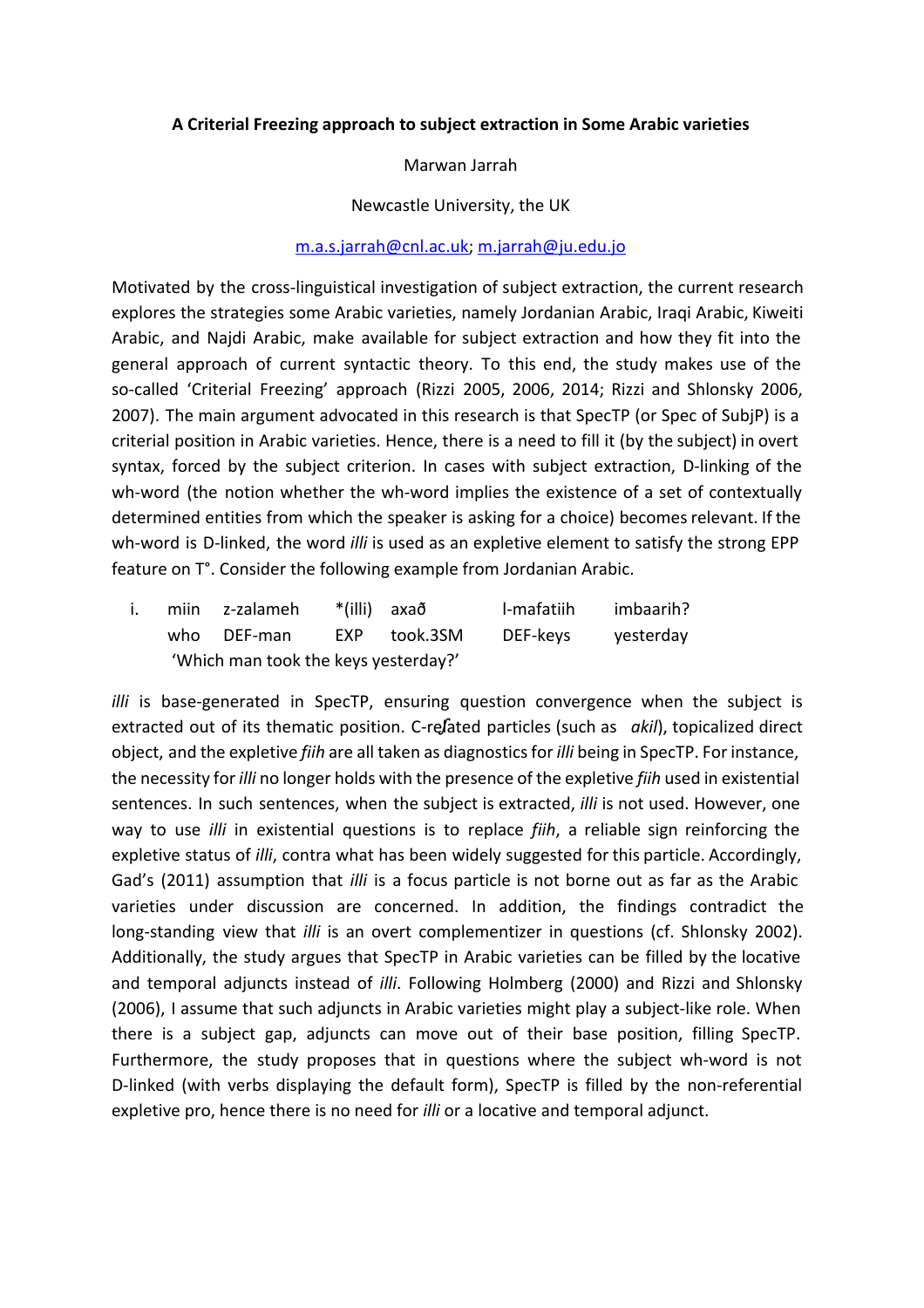## **A Criterial Freezing approach to subject extraction in Some Arabic varieties**

Marwan Jarrah

Newcastle University, the UK

## [m.a.s.jarrah@cnl.ac.uk](mailto:m.a.s.jarrah@cnl.ac.uk); [m.jarrah@ju.edu.jo](mailto:m.jarrah@ju.edu.jo)

Motivated by the crosslinguistical investigation of subject extraction, the current research explores the strategies some Arabic varieties, namely Jordanian Arabic, Iraqi Arabic, Kiweiti Arabic, and Najdi Arabic, make available for subject extraction and how they fit into the general approach of current syntactic theory. To this end, the study makes use of the so-called 'Criterial Freezing' approach (Rizzi 2005, 2006, 2014; Rizzi and Shlonsky 2006, 2007). The main argument advocated in this research is that SpecTP (or Spec of SubjP) is a criterial position in Arabic varieties. Hence, there is a need to fill it (by the subject) in overt syntax, forced by the subject criterion. In cases with subject extraction, D-linking of the wh-word (the notion whether the wh-word implies the existence of a set of contextually determined entities from which the speaker is asking for a choice) becomes relevant. If the wh-word is D-linked, the word *illi* is used as an expletive element to satisfy the strong EPP feature on T°. Consider the following example from Jordanian Arabic.

| i. |                                      | miin z-zalameh | *(illi) axað |              | l-mafatiih | imbaarih? |
|----|--------------------------------------|----------------|--------------|--------------|------------|-----------|
|    |                                      | who DEF-man    |              | EXP took.3SM | DEF-keys   | yesterday |
|    | 'Which man took the keys yesterday?' |                |              |              |            |           |

*illi* is base-generated in SpecTP, ensuring question convergence when the subject is extracted out of its thematic position. C-refated particles (such as *akil*), topicalized direct object, and the expletive *fiih* are all taken as diagnostics for *illi* being in SpecTP. For instance, the necessity for *illi* no longer holds with the presence of the expletive *fiih* used in existential sentences. In such sentences, when the subject is extracted, *illi* is not used. However, one way to use *illi* in existential questions is to replace *fiih*, a reliable sign reinforcing the expletive status of *illi*, contra what has been widely suggested for this particle. Accordingly, Gad's (2011) assumption that *illi* is a focus particle is not borne out as far as the Arabic varieties under discussion are concerned. In addition, the findings contradict the long-standing view that *illi* is an overt complementizer in questions (cf. Shlonsky 2002). Additionally, the study argues that SpecTP in Arabic varieties can be filled by the locative and temporal adjuncts instead of *illi*. Following Holmberg (2000) and Rizzi and Shlonsky (2006), I assume that such adjuncts in Arabic varieties might play a subject-like role. When there is a subject gap, adjuncts can move out of their base position, filling SpecTP. Furthermore, the study proposes that in questions where the subject wh-word is not D-linked (with verbs displaying the default form), SpecTP is filled by the non-referential expletive pro, hence there is no need for *illi* or a locative and temporal adjunct.